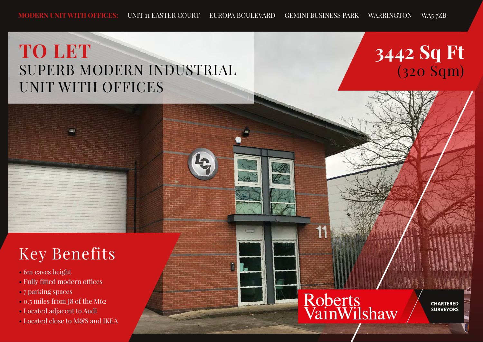# **TO LET** SUPERB MODERN INDUSTRIAL UNIT WITH OFFICES

# **3442 Sq Ft** (320 Sqm)

# Key Benefits

- 6m eaves height
- Fully fitted modern offices
- 7 parking spaces
- 0.5 miles from J8 of the M62
- Located adjacent to Audi
- Located close to M&S and IKEA

# Roberts<br>VainWilshaw

**CHARTERED SURVEYORS**